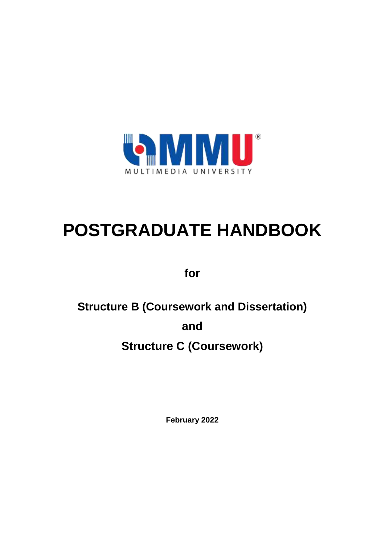

# **POSTGRADUATE HANDBOOK**

**for**

# **Structure B (Coursework and Dissertation)**

**and**

# **Structure C (Coursework)**

**February 2022**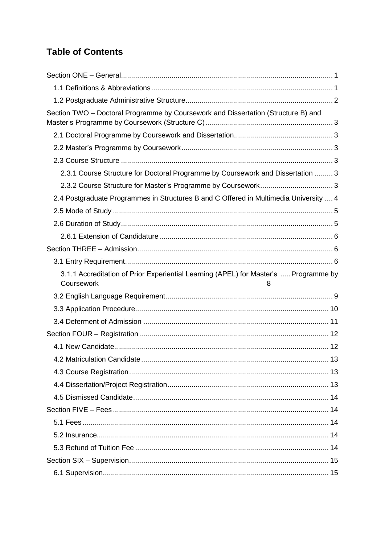# **Table of Contents**

| Section TWO - Doctoral Programme by Coursework and Dissertation (Structure B) and     |  |
|---------------------------------------------------------------------------------------|--|
|                                                                                       |  |
|                                                                                       |  |
|                                                                                       |  |
| 2.3.1 Course Structure for Doctoral Programme by Coursework and Dissertation  3       |  |
|                                                                                       |  |
| 2.4 Postgraduate Programmes in Structures B and C Offered in Multimedia University  4 |  |
|                                                                                       |  |
|                                                                                       |  |
|                                                                                       |  |
|                                                                                       |  |
|                                                                                       |  |
| 3.1.1 Accreditation of Prior Experiential Learning (APEL) for Master's  Programme by  |  |
| Coursework<br>8                                                                       |  |
|                                                                                       |  |
|                                                                                       |  |
|                                                                                       |  |
|                                                                                       |  |
|                                                                                       |  |
|                                                                                       |  |
|                                                                                       |  |
|                                                                                       |  |
|                                                                                       |  |
|                                                                                       |  |
|                                                                                       |  |
|                                                                                       |  |
|                                                                                       |  |
|                                                                                       |  |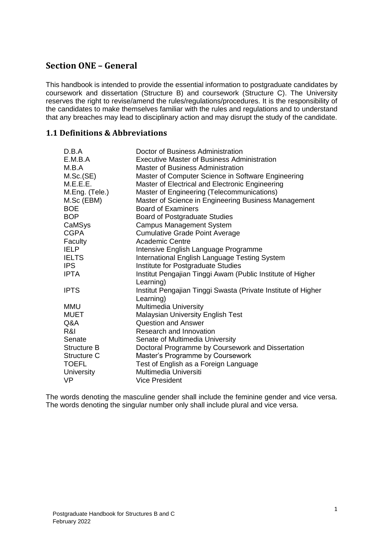# <span id="page-4-0"></span>**Section ONE – General**

This handbook is intended to provide the essential information to postgraduate candidates by coursework and dissertation (Structure B) and coursework (Structure C). The University reserves the right to revise/amend the rules/regulations/procedures. It is the responsibility of the candidates to make themselves familiar with the rules and regulations and to understand that any breaches may lead to disciplinary action and may disrupt the study of the candidate.

#### <span id="page-4-1"></span>**1.1 Definitions & Abbreviations**

| D.B.A          | Doctor of Business Administration                             |
|----------------|---------------------------------------------------------------|
| E.M.B.A        | Executive Master of Business Administration                   |
| M.B.A          | <b>Master of Business Administration</b>                      |
| M.Sc.(SE)      | Master of Computer Science in Software Engineering            |
| M.E.E.E.       | Master of Electrical and Electronic Engineering               |
| M.Eng. (Tele.) | Master of Engineering (Telecommunications)                    |
| M.Sc (EBM)     | Master of Science in Engineering Business Management          |
| BOE            | <b>Board of Examiners</b>                                     |
| <b>BOP</b>     | <b>Board of Postgraduate Studies</b>                          |
| CaMSys         | <b>Campus Management System</b>                               |
| <b>CGPA</b>    | <b>Cumulative Grade Point Average</b>                         |
| Faculty        | Academic Centre                                               |
| <b>IELP</b>    | Intensive English Language Programme                          |
| <b>IELTS</b>   | International English Language Testing System                 |
| <b>IPS</b>     | Institute for Postgraduate Studies                            |
| IPTA           | Institut Pengajian Tinggi Awam (Public Institute of Higher    |
|                | Learning)                                                     |
| <b>IPTS</b>    | Institut Pengajian Tinggi Swasta (Private Institute of Higher |
|                | Learning)                                                     |
| MMU            | <b>Multimedia University</b>                                  |
| MUET           | <b>Malaysian University English Test</b>                      |
| Q&A            | <b>Question and Answer</b>                                    |
| R&I            | Research and Innovation                                       |
| Senate         | Senate of Multimedia University                               |
| Structure B    | Doctoral Programme by Coursework and Dissertation             |
| Structure C    | Master's Programme by Coursework                              |
| TOEFL          | Test of English as a Foreign Language                         |
| University     | Multimedia Universiti                                         |
| VP             | <b>Vice President</b>                                         |

The words denoting the masculine gender shall include the feminine gender and vice versa. The words denoting the singular number only shall include plural and vice versa.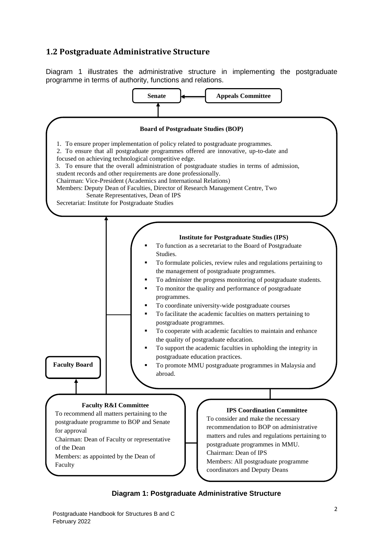# <span id="page-5-0"></span>**1.2 Postgraduate Administrative Structure**

Diagram 1 illustrates the administrative structure in implementing the postgraduate programme in terms of authority, functions and relations.



#### **Diagram 1: Postgraduate Administrative Structure**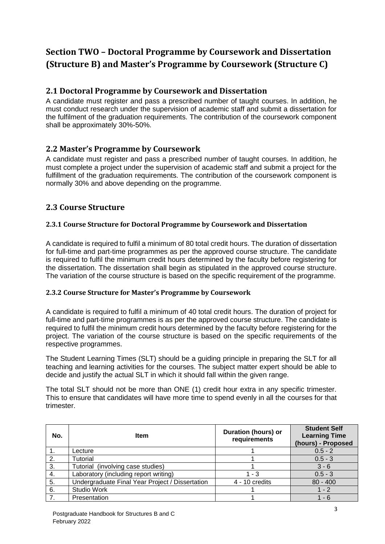# <span id="page-6-0"></span>**Section TWO – Doctoral Programme by Coursework and Dissertation (Structure B) and Master's Programme by Coursework (Structure C)**

## <span id="page-6-1"></span>**2.1 Doctoral Programme by Coursework and Dissertation**

A candidate must register and pass a prescribed number of taught courses. In addition, he must conduct research under the supervision of academic staff and submit a dissertation for the fulfilment of the graduation requirements. The contribution of the coursework component shall be approximately 30%-50%.

# <span id="page-6-2"></span>**2.2 Master's Programme by Coursework**

A candidate must register and pass a prescribed number of taught courses. In addition, he must complete a project under the supervision of academic staff and submit a project for the fulfillment of the graduation requirements. The contribution of the coursework component is normally 30% and above depending on the programme.

# <span id="page-6-3"></span>**2.3 Course Structure**

#### <span id="page-6-4"></span>**2.3.1 Course Structure for Doctoral Programme by Coursework and Dissertation**

A candidate is required to fulfil a minimum of 80 total credit hours. The duration of dissertation for full-time and part-time programmes as per the approved course structure. The candidate is required to fulfil the minimum credit hours determined by the faculty before registering for the dissertation. The dissertation shall begin as stipulated in the approved course structure. The variation of the course structure is based on the specific requirement of the programme.

#### <span id="page-6-5"></span>**2.3.2 Course Structure for Master's Programme by Coursework**

A candidate is required to fulfil a minimum of 40 total credit hours. The duration of project for full-time and part-time programmes is as per the approved course structure. The candidate is required to fulfil the minimum credit hours determined by the faculty before registering for the project. The variation of the course structure is based on the specific requirements of the respective programmes.

The Student Learning Times (SLT) should be a guiding principle in preparing the SLT for all teaching and learning activities for the courses. The subject matter expert should be able to decide and justify the actual SLT in which it should fall within the given range.

The total SLT should not be more than ONE (1) credit hour extra in any specific trimester. This to ensure that candidates will have more time to spend evenly in all the courses for that trimester.

| No. | <b>Item</b>                                     | <b>Duration (hours) or</b><br>requirements | <b>Student Self</b><br><b>Learning Time</b><br>(hours) - Proposed |
|-----|-------------------------------------------------|--------------------------------------------|-------------------------------------------------------------------|
|     | Lecture                                         |                                            | $0.5 - 2$                                                         |
| 2.  | Tutorial                                        |                                            | $0.5 - 3$                                                         |
| 3.  | Tutorial (involving case studies)               |                                            | $3 - 6$                                                           |
| 4.  | Laboratory (including report writing)           | - 3                                        | $0.5 - 3$                                                         |
| 5.  | Undergraduate Final Year Project / Dissertation | 4 - 10 credits                             | $80 - 400$                                                        |
| 6.  | <b>Studio Work</b>                              |                                            | 1 - 2                                                             |
|     | Presentation                                    |                                            | - 6                                                               |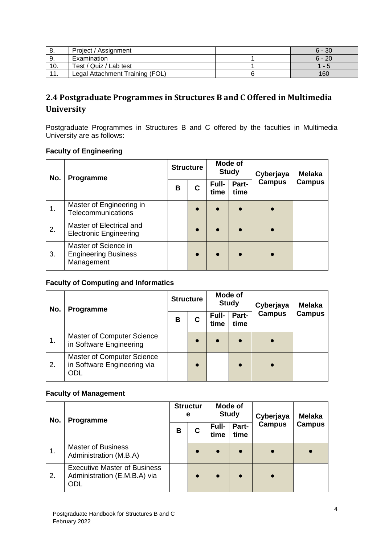| Ö., | Project / Assignment            | $6 - 30$ |
|-----|---------------------------------|----------|
| -9. | Examination                     | $6 - 20$ |
| 10. | Test / Quiz / Lab test          | 1 -      |
|     | Legal Attachment Training (FOL) | 160      |

# <span id="page-7-0"></span>**2.4 Postgraduate Programmes in Structures B and C Offered in Multimedia University**

Postgraduate Programmes in Structures B and C offered by the faculties in Multimedia University are as follows:

#### **Faculty of Engineering**

| No.           | Programme                                                         |   | <b>Structure</b> |               | Mode of<br><b>Study</b> | Cyberjaya     | <b>Melaka</b> |
|---------------|-------------------------------------------------------------------|---|------------------|---------------|-------------------------|---------------|---------------|
|               |                                                                   | B | C                | Full-<br>time | Part-<br>time           | <b>Campus</b> | <b>Campus</b> |
| $\mathbf 1$ . | Master of Engineering in<br>Telecommunications                    |   |                  |               |                         |               |               |
| 2.            | Master of Electrical and<br><b>Electronic Engineering</b>         |   |                  |               |                         |               |               |
| 3.            | Master of Science in<br><b>Engineering Business</b><br>Management |   |                  |               |                         |               |               |

# **Faculty of Computing and Informatics**

| No. | Programme                                                        | <b>Structure</b>                         |           | Mode of<br><b>Study</b> |               | Cyberjaya | <b>Melaka</b> |
|-----|------------------------------------------------------------------|------------------------------------------|-----------|-------------------------|---------------|-----------|---------------|
|     |                                                                  | Part-<br>Full-<br>B<br>С<br>time<br>time |           | <b>Campus</b>           | <b>Campus</b> |           |               |
| 1.  | Master of Computer Science<br>in Software Engineering            |                                          | $\bullet$ | $\bullet$               | $\bullet$     |           |               |
| 2.  | Master of Computer Science<br>in Software Engineering via<br>ODL |                                          | $\bullet$ |                         |               |           |               |

#### **Faculty of Management**

| No. | Programme                                                                  |   | <b>Structur</b><br>е |               | Mode of<br><b>Study</b> | Cyberjaya     | <b>Melaka</b> |
|-----|----------------------------------------------------------------------------|---|----------------------|---------------|-------------------------|---------------|---------------|
|     |                                                                            | В | С                    | Full-<br>time | Part-<br>time           | <b>Campus</b> | <b>Campus</b> |
| 1.  | <b>Master of Business</b><br>Administration (M.B.A)                        |   |                      | $\bullet$     | $\bullet$               |               |               |
| 2.  | <b>Executive Master of Business</b><br>Administration (E.M.B.A) via<br>ODL |   |                      | $\bullet$     | $\bullet$               |               |               |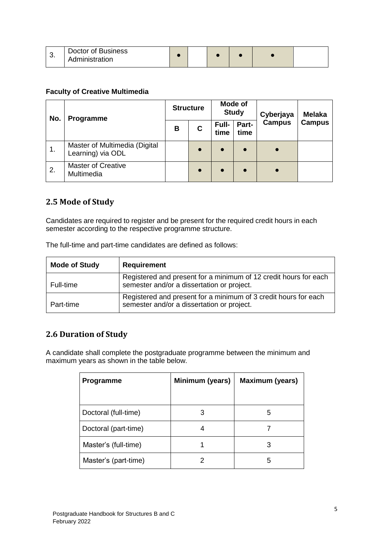| ັບ. | Doctor of Business<br>Administration |  |  |  |
|-----|--------------------------------------|--|--|--|
|     |                                      |  |  |  |

#### **Faculty of Creative Multimedia**

| No.            | Programme                                          | <b>Structure</b> |           | Mode of<br><b>Study</b> |               | Cyberjaya     | <b>Melaka</b> |
|----------------|----------------------------------------------------|------------------|-----------|-------------------------|---------------|---------------|---------------|
|                |                                                    | в                | C         | Full-<br>time           | Part-<br>time | <b>Campus</b> | <b>Campus</b> |
| $\mathbf{1}$ . | Master of Multimedia (Digital<br>Learning) via ODL |                  | $\bullet$ | $\bullet$               | $\bullet$     |               |               |
| 2.             | <b>Master of Creative</b><br>Multimedia            |                  |           | $\bullet$               |               |               |               |

## <span id="page-8-0"></span>**2.5 Mode of Study**

Candidates are required to register and be present for the required credit hours in each semester according to the respective programme structure.

| The full-time and part-time candidates are defined as follows: |  |
|----------------------------------------------------------------|--|
|----------------------------------------------------------------|--|

| <b>Mode of Study</b> | <b>Requirement</b>                                                                                             |
|----------------------|----------------------------------------------------------------------------------------------------------------|
| Full-time            | Registered and present for a minimum of 12 credit hours for each<br>semester and/or a dissertation or project. |
| Part-time            | Registered and present for a minimum of 3 credit hours for each<br>semester and/or a dissertation or project.  |

## <span id="page-8-1"></span>**2.6 Duration of Study**

A candidate shall complete the postgraduate programme between the minimum and maximum years as shown in the table below.

| Programme            | Minimum (years) | <b>Maximum (years)</b> |
|----------------------|-----------------|------------------------|
|                      |                 |                        |
| Doctoral (full-time) | 3               | 5                      |
| Doctoral (part-time) |                 |                        |
| Master's (full-time) |                 | З                      |
| Master's (part-time) |                 | 5                      |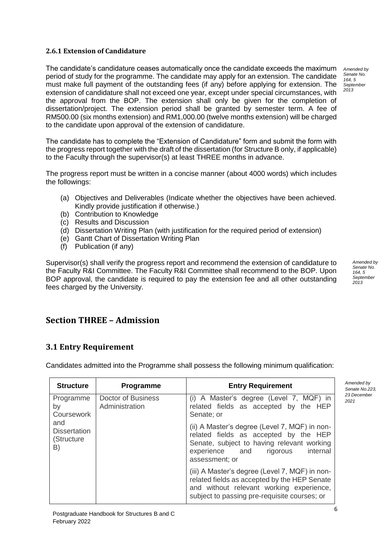#### <span id="page-9-0"></span>**2.6.1 Extension of Candidature**

The candidate's candidature ceases automatically once the candidate exceeds the maximum period of study for the programme. The candidate may apply for an extension. The candidate must make full payment of the outstanding fees (if any) before applying for extension. The extension of candidature shall not exceed one year, except under special circumstances, with the approval from the BOP. The extension shall only be given for the completion of dissertation/project. The extension period shall be granted by semester term. A fee of RM500.00 (six months extension) and RM1,000.00 (twelve months extension) will be charged to the candidate upon approval of the extension of candidature.

The candidate has to complete the "Extension of Candidature" form and submit the form with the progress report together with the draft of the dissertation (for Structure B only, if applicable) to the Faculty through the supervisor(s) at least THREE months in advance.

The progress report must be written in a concise manner (about 4000 words) which includes the followings:

- (a) Objectives and Deliverables (Indicate whether the objectives have been achieved. Kindly provide justification if otherwise.)
- (b) Contribution to Knowledge
- (c) Results and Discussion
- (d) Dissertation Writing Plan (with justification for the required period of extension)
- (e) Gantt Chart of Dissertation Writing Plan
- (f) Publication (if any)

Supervisor(s) shall verify the progress report and recommend the extension of candidature to the Faculty R&I Committee. The Faculty R&I Committee shall recommend to the BOP. Upon BOP approval, the candidate is required to pay the extension fee and all other outstanding fees charged by the University.

<span id="page-9-1"></span>**Section THREE – Admission**

## <span id="page-9-2"></span>**3.1 Entry Requirement**

Candidates admitted into the Programme shall possess the following minimum qualification:

| <b>Structure</b>                               | Programme                                   | <b>Entry Requirement</b>                                                                                                                                                                         | Amended by<br>Senate No.223, |
|------------------------------------------------|---------------------------------------------|--------------------------------------------------------------------------------------------------------------------------------------------------------------------------------------------------|------------------------------|
| Programme<br>by<br>Coursework                  | <b>Doctor of Business</b><br>Administration | (i) A Master's degree (Level 7, MQF) in<br>related fields as accepted by the HEP<br>Senate; or                                                                                                   | 23 December<br>2021          |
| and<br><b>Dissertation</b><br>(Structure<br>B) |                                             | (ii) A Master's degree (Level 7, MQF) in non-<br>related fields as accepted by the HEP<br>Senate, subject to having relevant working<br>internal<br>experience and<br>rigorous<br>assessment; or |                              |
|                                                |                                             | (iii) A Master's degree (Level 7, MQF) in non-<br>related fields as accepted by the HEP Senate<br>and without relevant working experience,<br>subject to passing pre-requisite courses; or       |                              |

*Amended by Senate No.*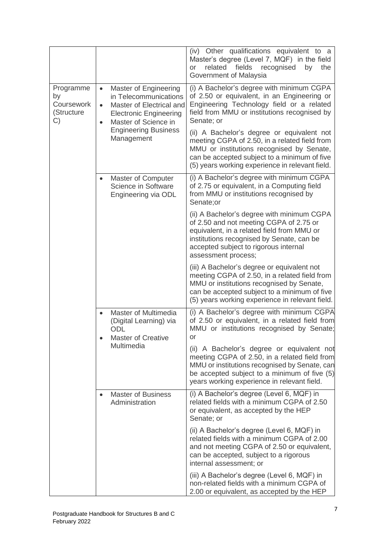|                                                   |                                                                                                                                   |                                                                                    | (iv) Other qualifications equivalent to a<br>Master's degree (Level 7, MQF) in the field<br>related<br>fields recognised<br>by<br>the<br>or<br>Government of Malaysia                                                                            |
|---------------------------------------------------|-----------------------------------------------------------------------------------------------------------------------------------|------------------------------------------------------------------------------------|--------------------------------------------------------------------------------------------------------------------------------------------------------------------------------------------------------------------------------------------------|
| Programme<br>by<br>Coursework<br>(Structure<br>C) | Master of Engineering<br>$\bullet$<br>$\bullet$<br>Master of Science in<br>$\bullet$<br><b>Engineering Business</b><br>Management | in Telecommunications<br>Master of Electrical and<br><b>Electronic Engineering</b> | (i) A Bachelor's degree with minimum CGPA<br>of 2.50 or equivalent, in an Engineering or<br>Engineering Technology field or a related<br>field from MMU or institutions recognised by<br>Senate; or                                              |
|                                                   |                                                                                                                                   |                                                                                    | (ii) A Bachelor's degree or equivalent not<br>meeting CGPA of 2.50, in a related field from<br>MMU or institutions recognised by Senate,<br>can be accepted subject to a minimum of five<br>(5) years working experience in relevant field.      |
|                                                   | $\bullet$                                                                                                                         | Master of Computer<br>Science in Software<br>Engineering via ODL                   | (i) A Bachelor's degree with minimum CGPA<br>of 2.75 or equivalent, in a Computing field<br>from MMU or institutions recognised by<br>Senate;or                                                                                                  |
|                                                   |                                                                                                                                   |                                                                                    | (ii) A Bachelor's degree with minimum CGPA<br>of 2.50 and not meeting CGPA of 2.75 or<br>equivalent, in a related field from MMU or<br>institutions recognised by Senate, can be<br>accepted subject to rigorous internal<br>assessment process; |
|                                                   |                                                                                                                                   |                                                                                    | (iii) A Bachelor's degree or equivalent not<br>meeting CGPA of 2.50, in a related field from<br>MMU or institutions recognised by Senate,<br>can be accepted subject to a minimum of five<br>(5) years working experience in relevant field.     |
|                                                   | $\bullet$                                                                                                                         | Master of Multimedia<br>(Digital Learning) via<br>ODL<br><b>Master of Creative</b> | (i) A Bachelor's degree with minimum CGPA<br>of 2.50 or equivalent, in a related field from<br>MMU or institutions recognised by Senate;<br>or                                                                                                   |
|                                                   |                                                                                                                                   | Multimedia                                                                         | (ii) A Bachelor's degree or equivalent not<br>meeting CGPA of 2.50, in a related field from<br>MMU or institutions recognised by Senate, can<br>be accepted subject to a minimum of five (5)<br>years working experience in relevant field.      |
|                                                   | $\bullet$                                                                                                                         | <b>Master of Business</b><br>Administration                                        | (i) A Bachelor's degree (Level 6, MQF) in<br>related fields with a minimum CGPA of 2.50<br>or equivalent, as accepted by the HEP<br>Senate; or                                                                                                   |
|                                                   |                                                                                                                                   |                                                                                    | (ii) A Bachelor's degree (Level 6, MQF) in<br>related fields with a minimum CGPA of 2.00<br>and not meeting CGPA of 2.50 or equivalent,<br>can be accepted, subject to a rigorous<br>internal assessment; or                                     |
|                                                   |                                                                                                                                   |                                                                                    | (iii) A Bachelor's degree (Level 6, MQF) in<br>non-related fields with a minimum CGPA of<br>2.00 or equivalent, as accepted by the HEP                                                                                                           |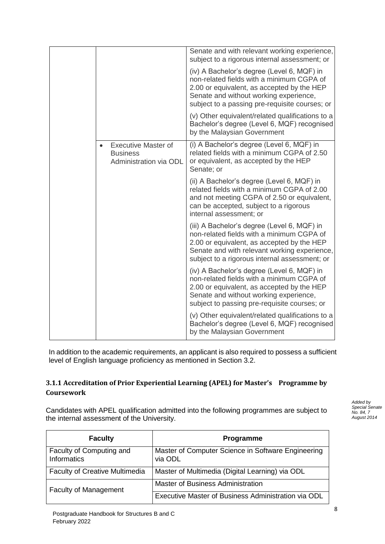|  |                                                                         | Senate and with relevant working experience,<br>subject to a rigorous internal assessment; or                                                                                                                                           |
|--|-------------------------------------------------------------------------|-----------------------------------------------------------------------------------------------------------------------------------------------------------------------------------------------------------------------------------------|
|  |                                                                         | (iv) A Bachelor's degree (Level 6, MQF) in<br>non-related fields with a minimum CGPA of<br>2.00 or equivalent, as accepted by the HEP<br>Senate and without working experience,<br>subject to a passing pre-requisite courses; or       |
|  |                                                                         | (v) Other equivalent/related qualifications to a<br>Bachelor's degree (Level 6, MQF) recognised<br>by the Malaysian Government                                                                                                          |
|  | <b>Executive Master of</b><br><b>Business</b><br>Administration via ODL | (i) A Bachelor's degree (Level 6, MQF) in<br>related fields with a minimum CGPA of 2.50<br>or equivalent, as accepted by the HEP<br>Senate; or                                                                                          |
|  |                                                                         | (ii) A Bachelor's degree (Level 6, MQF) in<br>related fields with a minimum CGPA of 2.00<br>and not meeting CGPA of 2.50 or equivalent,<br>can be accepted, subject to a rigorous<br>internal assessment; or                            |
|  |                                                                         | (iii) A Bachelor's degree (Level 6, MQF) in<br>non-related fields with a minimum CGPA of<br>2.00 or equivalent, as accepted by the HEP<br>Senate and with relevant working experience,<br>subject to a rigorous internal assessment; or |
|  |                                                                         | (iv) A Bachelor's degree (Level 6, MQF) in<br>non-related fields with a minimum CGPA of<br>2.00 or equivalent, as accepted by the HEP<br>Senate and without working experience,<br>subject to passing pre-requisite courses; or         |
|  |                                                                         | (v) Other equivalent/related qualifications to a<br>Bachelor's degree (Level 6, MQF) recognised<br>by the Malaysian Government                                                                                                          |

In addition to the academic requirements, an applicant is also required to possess a sufficient level of English language proficiency as mentioned in Section 3.2.

#### <span id="page-11-0"></span>**3.1.1 Accreditation of Prior Experiential Learning (APEL) for Master's Programme by Coursework**

Candidates with APEL qualification admitted into the following programmes are subject to the internal assessment of the University.

*Added by Special Senate No. 84, 7 August 2014*

| <b>Faculty</b>                                 | Programme                                                     |
|------------------------------------------------|---------------------------------------------------------------|
| Faculty of Computing and<br><b>Informatics</b> | Master of Computer Science in Software Engineering<br>via ODL |
| <b>Faculty of Creative Multimedia</b>          | Master of Multimedia (Digital Learning) via ODL               |
| <b>Faculty of Management</b>                   | Master of Business Administration                             |
|                                                | Executive Master of Business Administration via ODL           |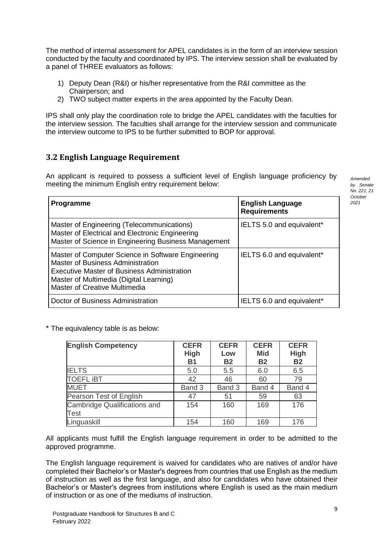The method of internal assessment for APEL candidates is in the form of an interview session conducted by the faculty and coordinated by IPS. The interview session shall be evaluated by a panel of THREE evaluators as follows:

- 1) Deputy Dean (R&I) or his/her representative from the R&I committee as the Chairperson; and
- 2) TWO subject matter experts in the area appointed by the Faculty Dean.

IPS shall only play the coordination role to bridge the APEL candidates with the faculties for the interview session. The faculties shall arrange for the interview session and communicate the interview outcome to IPS to be further submitted to BOP for approval.

## <span id="page-12-0"></span>**3.2 English Language Requirement**

An applicant is required to possess a sufficient level of English language proficiency by meeting the minimum English entry requirement below:

| Programme                                                                                                                                                                                                          | <b>English Language</b><br><b>Requirements</b> |
|--------------------------------------------------------------------------------------------------------------------------------------------------------------------------------------------------------------------|------------------------------------------------|
| Master of Engineering (Telecommunications)<br>Master of Electrical and Electronic Engineering<br>Master of Science in Engineering Business Management                                                              | IELTS 5.0 and equivalent*                      |
| Master of Computer Science in Software Engineering<br>Master of Business Administration<br>Executive Master of Business Administration<br>Master of Multimedia (Digital Learning)<br>Master of Creative Multimedia | IELTS 6.0 and equivalent*                      |
| Doctor of Business Administration                                                                                                                                                                                  | IELTS 6.0 and equivalent*                      |

\* The equivalency table is as below:

| <b>English Competency</b>    | <b>CEFR</b> | <b>CEFR</b>      | <b>CEFR</b>             | <b>CEFR</b> |
|------------------------------|-------------|------------------|-------------------------|-------------|
|                              | <b>High</b> | Low<br><b>B2</b> | <b>Mid</b><br><b>B2</b> | <b>High</b> |
|                              | <b>B1</b>   |                  |                         | <b>B2</b>   |
| <b>IELTS</b>                 | 5.0         | 5.5              | 6.0                     | 6.5         |
| <b>TOEFL IBT</b>             | 42          | 46               | 60                      | 79          |
| <b>MUET</b>                  | Band 3      | Band 3           | Band 4                  | Band 4      |
| Pearson Test of English      | 47          | 51               | 59                      | 63          |
| Cambridge Qualifications and | 154         | 160              | 169                     | 176         |
| <b>Test</b>                  |             |                  |                         |             |
| Linguaskill                  | 154         | 160              | 169                     | 176         |

All applicants must fulfill the English language requirement in order to be admitted to the approved programme.

The English language requirement is waived for candidates who are natives of and/or have completed their Bachelor's or Master's degrees from countries that use English as the medium of instruction as well as the first language, and also for candidates who have obtained their Bachelor's or Master's degrees from institutions where English is used as the main medium of instruction or as one of the mediums of instruction.

*Amended by Senate No. 221, 21 October 2021*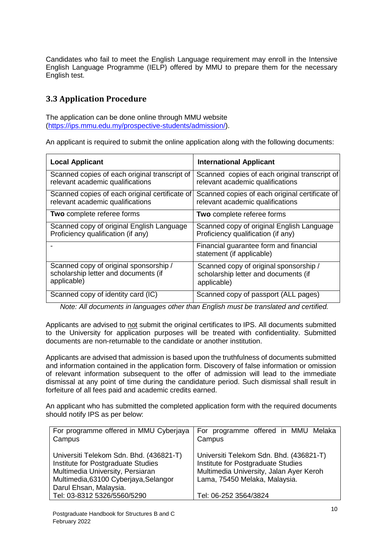Candidates who fail to meet the English Language requirement may enroll in the Intensive English Language Programme (IELP) offered by MMU to prepare them for the necessary English test.

# <span id="page-13-0"></span>**3.3 Application Procedure**

The application can be done online through MMU website [\(https://ips.mmu.edu.my/prospective-students/admission/\)](https://ips.mmu.edu.my/prospective-students/admission/).

An applicant is required to submit the online application along with the following documents:

| <b>Local Applicant</b>                         | <b>International Applicant</b>                                      |
|------------------------------------------------|---------------------------------------------------------------------|
| Scanned copies of each original transcript of  | Scanned copies of each original transcript of                       |
| relevant academic qualifications               | relevant academic qualifications                                    |
| Scanned copies of each original certificate of | Scanned copies of each original certificate of                      |
| relevant academic qualifications               | relevant academic qualifications                                    |
| Two complete referee forms                     | Two complete referee forms                                          |
| Scanned copy of original English Language      | Scanned copy of original English Language                           |
| Proficiency qualification (if any)             | Proficiency qualification (if any)                                  |
|                                                | Financial guarantee form and financial<br>statement (if applicable) |
| Scanned copy of original sponsorship /         | Scanned copy of original sponsorship /                              |
| scholarship letter and documents (if           | scholarship letter and documents (if                                |
| applicable)                                    | applicable)                                                         |
| Scanned copy of identity card (IC)             | Scanned copy of passport (ALL pages)                                |

*Note: All documents in languages other than English must be translated and certified.*

Applicants are advised to not submit the original certificates to IPS. All documents submitted to the University for application purposes will be treated with confidentiality. Submitted documents are non-returnable to the candidate or another institution.

Applicants are advised that admission is based upon the truthfulness of documents submitted and information contained in the application form. Discovery of false information or omission of relevant information subsequent to the offer of admission will lead to the immediate dismissal at any point of time during the candidature period. Such dismissal shall result in forfeiture of all fees paid and academic credits earned.

An applicant who has submitted the completed application form with the required documents should notify IPS as per below:

| For programme offered in MMU Cyberjaya<br>Campus                                                                                                                                     | For programme offered in MMU Melaka<br>Campus                                                                                                             |
|--------------------------------------------------------------------------------------------------------------------------------------------------------------------------------------|-----------------------------------------------------------------------------------------------------------------------------------------------------------|
| Universiti Telekom Sdn. Bhd. (436821-T)<br>Institute for Postgraduate Studies<br>Multimedia University, Persiaran<br>Multimedia, 63100 Cyberjaya, Selangor<br>Darul Ehsan, Malaysia. | Universiti Telekom Sdn. Bhd. (436821-T)<br>Institute for Postgraduate Studies<br>Multimedia University, Jalan Ayer Keroh<br>Lama, 75450 Melaka, Malaysia. |
| Tel: 03-8312 5326/5560/5290                                                                                                                                                          | Tel: 06-252 3564/3824                                                                                                                                     |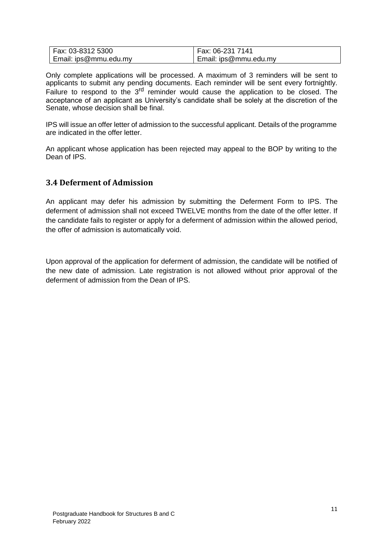| Fax: 03-8312 5300     | Fax: 06-231 7141      |
|-----------------------|-----------------------|
| Email: ips@mmu.edu.my | Email: ips@mmu.edu.my |

Only complete applications will be processed. A maximum of 3 reminders will be sent to applicants to submit any pending documents. Each reminder will be sent every fortnightly. Failure to respond to the 3<sup>rd</sup> reminder would cause the application to be closed. The acceptance of an applicant as University's candidate shall be solely at the discretion of the Senate, whose decision shall be final.

IPS will issue an offer letter of admission to the successful applicant. Details of the programme are indicated in the offer letter.

An applicant whose application has been rejected may appeal to the BOP by writing to the Dean of IPS.

#### <span id="page-14-0"></span>**3.4 Deferment of Admission**

An applicant may defer his admission by submitting the Deferment Form to IPS. The deferment of admission shall not exceed TWELVE months from the date of the offer letter. If the candidate fails to register or apply for a deferment of admission within the allowed period, the offer of admission is automatically void.

Upon approval of the application for deferment of admission, the candidate will be notified of the new date of admission. Late registration is not allowed without prior approval of the deferment of admission from the Dean of IPS.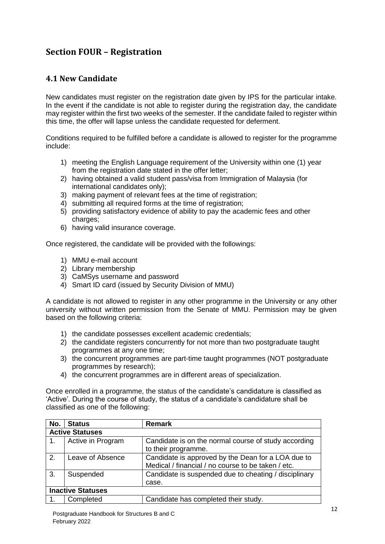# <span id="page-15-0"></span>**Section FOUR – Registration**

# <span id="page-15-1"></span>**4.1 New Candidate**

New candidates must register on the registration date given by IPS for the particular intake. In the event if the candidate is not able to register during the registration day, the candidate may register within the first two weeks of the semester. If the candidate failed to register within this time, the offer will lapse unless the candidate requested for deferment.

Conditions required to be fulfilled before a candidate is allowed to register for the programme include:

- 1) meeting the English Language requirement of the University within one (1) year from the registration date stated in the offer letter;
- 2) having obtained a valid student pass/visa from Immigration of Malaysia (for international candidates only);
- 3) making payment of relevant fees at the time of registration;
- 4) submitting all required forms at the time of registration;
- 5) providing satisfactory evidence of ability to pay the academic fees and other charges;
- 6) having valid insurance coverage.

Once registered, the candidate will be provided with the followings:

- 1) MMU e-mail account
- 2) Library membership
- 3) CaMSys username and password
- 4) Smart ID card (issued by Security Division of MMU)

A candidate is not allowed to register in any other programme in the University or any other university without written permission from the Senate of MMU. Permission may be given based on the following criteria:

- 1) the candidate possesses excellent academic credentials;
- 2) the candidate registers concurrently for not more than two postgraduate taught programmes at any one time;
- 3) the concurrent programmes are part-time taught programmes (NOT postgraduate programmes by research);
- 4) the concurrent programmes are in different areas of specialization.

Once enrolled in a programme, the status of the candidate's candidature is classified as 'Active'. During the course of study, the status of a candidate's candidature shall be classified as one of the following:

| No. | <b>Status</b>            | <b>Remark</b>                                         |  |
|-----|--------------------------|-------------------------------------------------------|--|
|     | <b>Active Statuses</b>   |                                                       |  |
| 1.  | Active in Program        | Candidate is on the normal course of study according  |  |
|     |                          | to their programme.                                   |  |
| 2.  | Leave of Absence         | Candidate is approved by the Dean for a LOA due to    |  |
|     |                          | Medical / financial / no course to be taken / etc.    |  |
| 3.  | Suspended                | Candidate is suspended due to cheating / disciplinary |  |
|     |                          | case.                                                 |  |
|     | <b>Inactive Statuses</b> |                                                       |  |
|     | Completed                | Candidate has completed their study.                  |  |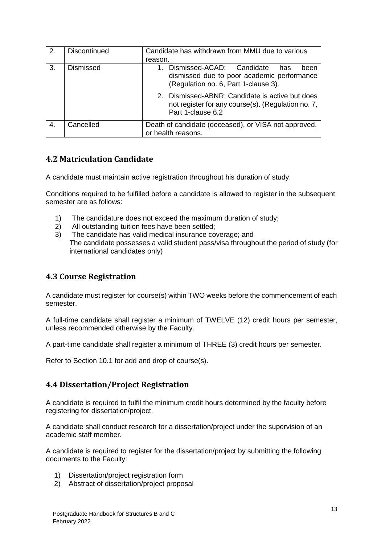| 2. | <b>Discontinued</b> | Candidate has withdrawn from MMU due to various<br>reason.                                                                     |
|----|---------------------|--------------------------------------------------------------------------------------------------------------------------------|
| 3. | <b>Dismissed</b>    | Dismissed-ACAD: Candidate<br>has<br>been<br>dismissed due to poor academic performance<br>(Regulation no. 6, Part 1-clause 3). |
|    |                     | 2. Dismissed-ABNR: Candidate is active but does<br>not register for any course(s). (Regulation no. 7,<br>Part 1-clause 6.2     |
| 4. | Cancelled           | Death of candidate (deceased), or VISA not approved,<br>or health reasons.                                                     |

# <span id="page-16-0"></span>**4.2 Matriculation Candidate**

A candidate must maintain active registration throughout his duration of study.

Conditions required to be fulfilled before a candidate is allowed to register in the subsequent semester are as follows:

- 1) The candidature does not exceed the maximum duration of study;
- 2) All outstanding tuition fees have been settled;
- 3) The candidate has valid medical insurance coverage; and The candidate possesses a valid student pass/visa throughout the period of study (for international candidates only)

# <span id="page-16-1"></span>**4.3 Course Registration**

A candidate must register for course(s) within TWO weeks before the commencement of each semester.

A full-time candidate shall register a minimum of TWELVE (12) credit hours per semester, unless recommended otherwise by the Faculty.

A part-time candidate shall register a minimum of THREE (3) credit hours per semester.

Refer to Section 10.1 for add and drop of course(s).

## <span id="page-16-2"></span>**4.4 Dissertation/Project Registration**

A candidate is required to fulfil the minimum credit hours determined by the faculty before registering for dissertation/project.

A candidate shall conduct research for a dissertation/project under the supervision of an academic staff member.

A candidate is required to register for the dissertation/project by submitting the following documents to the Faculty:

- 1) Dissertation/project registration form
- 2) Abstract of dissertation/project proposal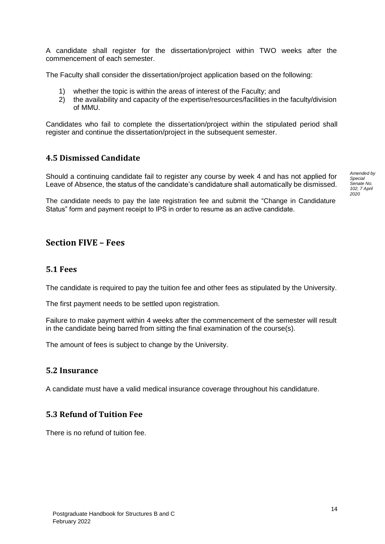A candidate shall register for the dissertation/project within TWO weeks after the commencement of each semester.

The Faculty shall consider the dissertation/project application based on the following:

- 1) whether the topic is within the areas of interest of the Faculty; and
- 2) the availability and capacity of the expertise/resources/facilities in the faculty/division of MMU.

Candidates who fail to complete the dissertation/project within the stipulated period shall register and continue the dissertation/project in the subsequent semester.

#### <span id="page-17-0"></span>**4.5 Dismissed Candidate**

Should a continuing candidate fail to register any course by week 4 and has not applied for Leave of Absence, the status of the candidate's candidature shall automatically be dismissed. *Amended by Special Senate No. 102, 7 April 2020*

The candidate needs to pay the late registration fee and submit the "Change in Candidature Status" form and payment receipt to IPS in order to resume as an active candidate.

# <span id="page-17-1"></span>**Section FIVE – Fees**

#### <span id="page-17-2"></span>**5.1 Fees**

The candidate is required to pay the tuition fee and other fees as stipulated by the University.

The first payment needs to be settled upon registration.

Failure to make payment within 4 weeks after the commencement of the semester will result in the candidate being barred from sitting the final examination of the course(s).

The amount of fees is subject to change by the University.

#### <span id="page-17-3"></span>**5.2 Insurance**

A candidate must have a valid medical insurance coverage throughout his candidature.

#### <span id="page-17-4"></span>**5.3 Refund of Tuition Fee**

There is no refund of tuition fee.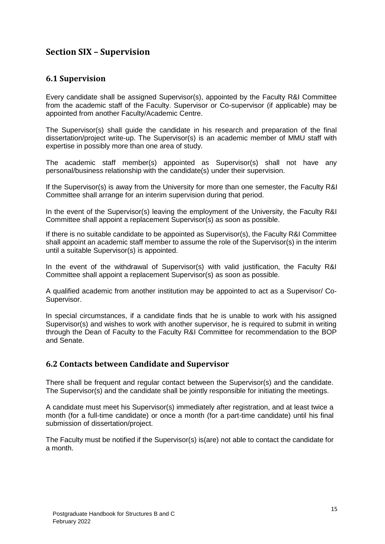# <span id="page-18-0"></span>**Section SIX – Supervision**

#### <span id="page-18-1"></span>**6.1 Supervision**

Every candidate shall be assigned Supervisor(s), appointed by the Faculty R&I Committee from the academic staff of the Faculty. Supervisor or Co-supervisor (if applicable) may be appointed from another Faculty/Academic Centre.

The Supervisor(s) shall guide the candidate in his research and preparation of the final dissertation/project write-up. The Supervisor(s) is an academic member of MMU staff with expertise in possibly more than one area of study.

The academic staff member(s) appointed as Supervisor(s) shall not have any personal/business relationship with the candidate(s) under their supervision.

If the Supervisor(s) is away from the University for more than one semester, the Faculty R&I Committee shall arrange for an interim supervision during that period.

In the event of the Supervisor(s) leaving the employment of the University, the Faculty R&I Committee shall appoint a replacement Supervisor(s) as soon as possible.

If there is no suitable candidate to be appointed as Supervisor(s), the Faculty R&I Committee shall appoint an academic staff member to assume the role of the Supervisor(s) in the interim until a suitable Supervisor(s) is appointed.

In the event of the withdrawal of Supervisor(s) with valid justification, the Faculty R&I Committee shall appoint a replacement Supervisor(s) as soon as possible.

A qualified academic from another institution may be appointed to act as a Supervisor/ Co-Supervisor.

In special circumstances, if a candidate finds that he is unable to work with his assigned Supervisor(s) and wishes to work with another supervisor, he is required to submit in writing through the Dean of Faculty to the Faculty R&I Committee for recommendation to the BOP and Senate.

#### <span id="page-18-2"></span>**6.2 Contacts between Candidate and Supervisor**

There shall be frequent and regular contact between the Supervisor(s) and the candidate. The Supervisor(s) and the candidate shall be jointly responsible for initiating the meetings.

A candidate must meet his Supervisor(s) immediately after registration, and at least twice a month (for a full-time candidate) or once a month (for a part-time candidate) until his final submission of dissertation/project.

The Faculty must be notified if the Supervisor(s) is(are) not able to contact the candidate for a month.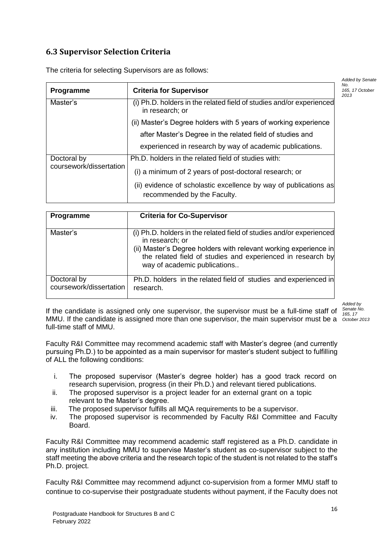# <span id="page-19-0"></span>**6.3 Supervisor Selection Criteria**

|                         |                                                                                                 | <b>Added by Senate</b>         |
|-------------------------|-------------------------------------------------------------------------------------------------|--------------------------------|
| Programme               | <b>Criteria for Supervisor</b>                                                                  | No.<br>165, 17 October<br>2013 |
| Master's                | (i) Ph.D. holders in the related field of studies and/or experienced<br>in research; or         |                                |
|                         | (ii) Master's Degree holders with 5 years of working experience                                 |                                |
|                         | after Master's Degree in the related field of studies and                                       |                                |
|                         | experienced in research by way of academic publications.                                        |                                |
| Doctoral by             | Ph.D. holders in the related field of studies with:                                             |                                |
| coursework/dissertation | (i) a minimum of 2 years of post-doctoral research; or                                          |                                |
|                         | (ii) evidence of scholastic excellence by way of publications as<br>recommended by the Faculty. |                                |

The criteria for selecting Supervisors are as follows:

| Programme                              | <b>Criteria for Co-Supervisor</b>                                                                                                                                                                                                                          |
|----------------------------------------|------------------------------------------------------------------------------------------------------------------------------------------------------------------------------------------------------------------------------------------------------------|
| Master's                               | (i) Ph.D. holders in the related field of studies and/or experienced<br>in research; or<br>(ii) Master's Degree holders with relevant working experience in<br>the related field of studies and experienced in research by<br>way of academic publications |
| Doctoral by<br>coursework/dissertation | Ph.D. holders in the related field of studies and experienced in<br>research.                                                                                                                                                                              |

*Added by Senate No. 165, 17* 

If the candidate is assigned only one supervisor, the supervisor must be a full-time staff of MMU. If the candidate is assigned more than one supervisor, the main supervisor must be a *October 2013*full-time staff of MMU.

Faculty R&I Committee may recommend academic staff with Master's degree (and currently pursuing Ph.D.) to be appointed as a main supervisor for master's student subject to fulfilling of ALL the following conditions:

- i. The proposed supervisor (Master's degree holder) has a good track record on research supervision, progress (in their Ph.D.) and relevant tiered publications.
- ii. The proposed supervisor is a project leader for an external grant on a topic relevant to the Master's degree.
- iii. The proposed supervisor fulfills all MQA requirements to be a supervisor.
- iv. The proposed supervisor is recommended by Faculty R&I Committee and Faculty Board.

Faculty R&I Committee may recommend academic staff registered as a Ph.D. candidate in any institution including MMU to supervise Master's student as co-supervisor subject to the staff meeting the above criteria and the research topic of the student is not related to the staff's Ph.D. project.

Faculty R&I Committee may recommend adjunct co-supervision from a former MMU staff to continue to co-supervise their postgraduate students without payment, if the Faculty does not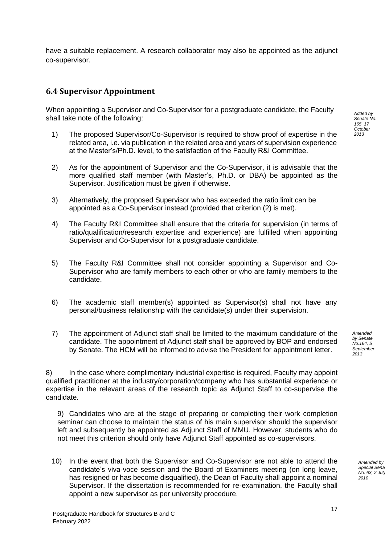have a suitable replacement. A research collaborator may also be appointed as the adjunct co-supervisor.

## <span id="page-20-0"></span>**6.4 Supervisor Appointment**

When appointing a Supervisor and Co-Supervisor for a postgraduate candidate, the Faculty shall take note of the following:

- 1) The proposed Supervisor/Co-Supervisor is required to show proof of expertise in the related area, i.e. via publication in the related area and years of supervision experience at the Master's/Ph.D. level, to the satisfaction of the Faculty R&I Committee.
- 2) As for the appointment of Supervisor and the Co-Supervisor, it is advisable that the more qualified staff member (with Master's, Ph.D. or DBA) be appointed as the Supervisor. Justification must be given if otherwise.
- 3) Alternatively, the proposed Supervisor who has exceeded the ratio limit can be appointed as a Co-Supervisor instead (provided that criterion (2) is met).
- 4) The Faculty R&I Committee shall ensure that the criteria for supervision (in terms of ratio/qualification/research expertise and experience) are fulfilled when appointing Supervisor and Co-Supervisor for a postgraduate candidate.
- 5) The Faculty R&I Committee shall not consider appointing a Supervisor and Co-Supervisor who are family members to each other or who are family members to the candidate.
- 6) The academic staff member(s) appointed as Supervisor(s) shall not have any personal/business relationship with the candidate(s) under their supervision.
- 7) The appointment of Adjunct staff shall be limited to the maximum candidature of the candidate. The appointment of Adjunct staff shall be approved by BOP and endorsed by Senate. The HCM will be informed to advise the President for appointment letter.

8) In the case where complimentary industrial expertise is required, Faculty may appoint qualified practitioner at the industry/corporation/company who has substantial experience or expertise in the relevant areas of the research topic as Adjunct Staff to co-supervise the candidate.

9) Candidates who are at the stage of preparing or completing their work completion seminar can choose to maintain the status of his main supervisor should the supervisor left and subsequently be appointed as Adjunct Staff of MMU. However, students who do not meet this criterion should only have Adjunct Staff appointed as co-supervisors.

10) In the event that both the Supervisor and Co-Supervisor are not able to attend the candidate's viva-voce session and the Board of Examiners meeting (on long leave, has resigned or has become disqualified), the Dean of Faculty shall appoint a nominal Supervisor. If the dissertation is recommended for re-examination, the Faculty shall appoint a new supervisor as per university procedure.

*Added by Senate No. 165, 17 October 2013*

*Amended by Senate No.164, 5 September 2013*

> *Amended by*  Special Sena *No.* 63, 2 Jul *2010*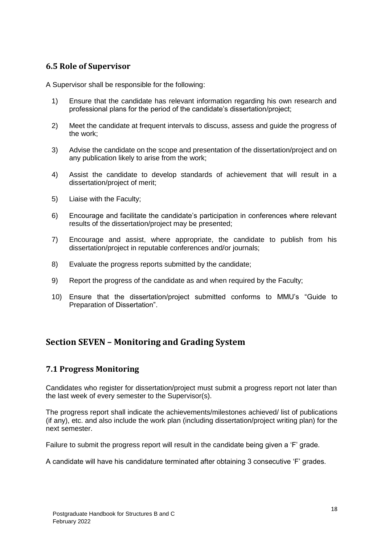## <span id="page-21-0"></span>**6.5 Role of Supervisor**

A Supervisor shall be responsible for the following:

- 1) Ensure that the candidate has relevant information regarding his own research and professional plans for the period of the candidate's dissertation/project;
- 2) Meet the candidate at frequent intervals to discuss, assess and guide the progress of the work;
- 3) Advise the candidate on the scope and presentation of the dissertation/project and on any publication likely to arise from the work;
- 4) Assist the candidate to develop standards of achievement that will result in a dissertation/project of merit;
- 5) Liaise with the Faculty;
- 6) Encourage and facilitate the candidate's participation in conferences where relevant results of the dissertation/project may be presented;
- 7) Encourage and assist, where appropriate, the candidate to publish from his dissertation/project in reputable conferences and/or journals;
- 8) Evaluate the progress reports submitted by the candidate;
- 9) Report the progress of the candidate as and when required by the Faculty;
- 10) Ensure that the dissertation/project submitted conforms to MMU's "Guide to Preparation of Dissertation".

# <span id="page-21-1"></span>**Section SEVEN – Monitoring and Grading System**

## <span id="page-21-2"></span>**7.1 Progress Monitoring**

Candidates who register for dissertation/project must submit a progress report not later than the last week of every semester to the Supervisor(s).

The progress report shall indicate the achievements/milestones achieved/ list of publications (if any), etc. and also include the work plan (including dissertation/project writing plan) for the next semester.

Failure to submit the progress report will result in the candidate being given a 'F' grade.

A candidate will have his candidature terminated after obtaining 3 consecutive 'F' grades.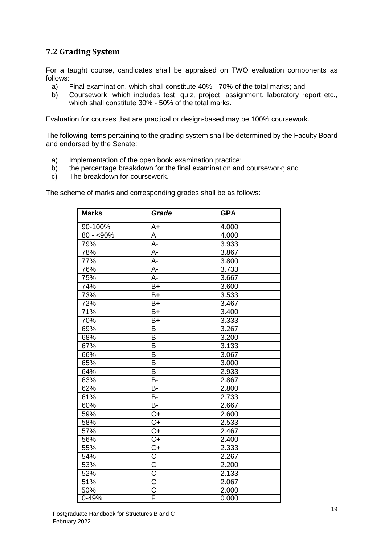# <span id="page-22-0"></span>**7.2 Grading System**

For a taught course, candidates shall be appraised on TWO evaluation components as follows:

- a) Final examination, which shall constitute 40% 70% of the total marks; and
- b) Coursework, which includes test, quiz, project, assignment, laboratory report etc., which shall constitute 30% - 50% of the total marks.

Evaluation for courses that are practical or design-based may be 100% coursework.

The following items pertaining to the grading system shall be determined by the Faculty Board and endorsed by the Senate:

- a) Implementation of the open book examination practice;
- b) the percentage breakdown for the final examination and coursework; and
- c) The breakdown for coursework.

The scheme of marks and corresponding grades shall be as follows:

| <b>Marks</b>    | Grade                 | <b>GPA</b> |
|-----------------|-----------------------|------------|
| 90-100%         | $A+$                  | 4.000      |
| $80 - 590\%$    | A                     | 4.000      |
| 79%             | $\overline{A}$ -      | 3.933      |
| 78%             | $\overline{A}$ -      | 3.867      |
| 77%             | A-                    | 3.800      |
| 76%             | A-                    | 3.733      |
| 75%             | $A -$                 | 3.667      |
| 74%             | $B+$                  | 3.600      |
| 73%             | $B+$                  | 3.533      |
| 72%             | $B+$                  | 3.467      |
| 71%             | $B+$                  | 3.400      |
| 70%             | B+                    | 3.333      |
| 69%             | B                     | 3.267      |
| 68%             | B                     | 3.200      |
| 67%             | $\overline{B}$        | 3.133      |
| 66%             | B                     | 3.067      |
| 65%             | B                     | 3.000      |
| 64%             | B-                    | 2.933      |
| 63%             | $B -$                 | 2.867      |
| $\frac{1}{62%}$ | $\overline{B}$        | 2.800      |
| 61%             | <b>B-</b>             | 2.733      |
| 60%             | $\overline{B}$        | 2.667      |
| 59%             | $C+$                  | 2.600      |
| 58%             | $\overline{C}$        | 2.533      |
| 57%             | $\overline{C}$        | 2.467      |
| 56%             | $\overline{C+}$       | 2.400      |
| 55%             | $C+$                  | 2.333      |
| 54%             | $\overline{\text{C}}$ | 2.267      |
| 53%             | $\bar{\bar{c}}$       | 2.200      |
| 52%             | $\overline{\text{C}}$ | 2.133      |
| 51%             | $\overline{\text{C}}$ | 2.067      |
| 50%             | $\overline{\text{c}}$ | 2.000      |
| 0-49%           | F                     | 0.000      |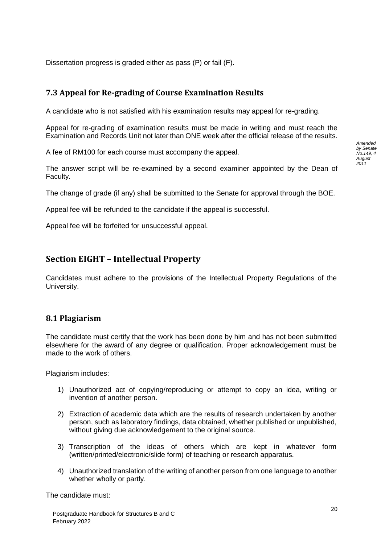Dissertation progress is graded either as pass (P) or fail (F).

# <span id="page-23-0"></span>**7.3 Appeal for Re-grading of Course Examination Results**

A candidate who is not satisfied with his examination results may appeal for re-grading.

Appeal for re-grading of examination results must be made in writing and must reach the Examination and Records Unit not later than ONE week after the official release of the results.

A fee of RM100 for each course must accompany the appeal.

The answer script will be re-examined by a second examiner appointed by the Dean of Faculty.

The change of grade (if any) shall be submitted to the Senate for approval through the BOE.

Appeal fee will be refunded to the candidate if the appeal is successful.

<span id="page-23-1"></span>Appeal fee will be forfeited for unsuccessful appeal.

# **Section EIGHT – Intellectual Property**

Candidates must adhere to the provisions of the Intellectual Property Regulations of the University.

#### <span id="page-23-2"></span>**8.1 Plagiarism**

The candidate must certify that the work has been done by him and has not been submitted elsewhere for the award of any degree or qualification. Proper acknowledgement must be made to the work of others.

Plagiarism includes:

- 1) Unauthorized act of copying/reproducing or attempt to copy an idea, writing or invention of another person.
- 2) Extraction of academic data which are the results of research undertaken by another person, such as laboratory findings, data obtained, whether published or unpublished, without giving due acknowledgement to the original source.
- 3) Transcription of the ideas of others which are kept in whatever form (written/printed/electronic/slide form) of teaching or research apparatus.
- 4) Unauthorized translation of the writing of another person from one language to another whether wholly or partly.

The candidate must:

*Amended by Senate No.149, 4 August 2011*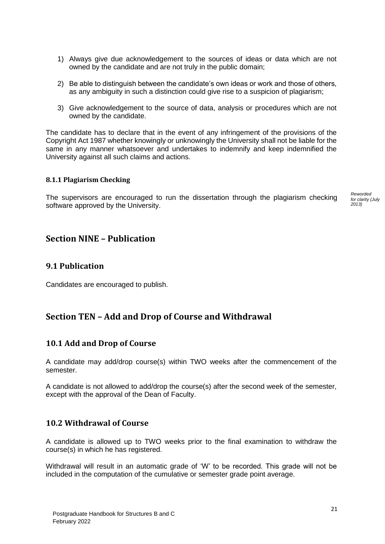- 1) Always give due acknowledgement to the sources of ideas or data which are not owned by the candidate and are not truly in the public domain;
- 2) Be able to distinguish between the candidate's own ideas or work and those of others, as any ambiguity in such a distinction could give rise to a suspicion of plagiarism;
- 3) Give acknowledgement to the source of data, analysis or procedures which are not owned by the candidate.

The candidate has to declare that in the event of any infringement of the provisions of the Copyright Act 1987 whether knowingly or unknowingly the University shall not be liable for the same in any manner whatsoever and undertakes to indemnify and keep indemnified the University against all such claims and actions.

#### <span id="page-24-0"></span>**8.1.1 Plagiarism Checking**

The supervisors are encouraged to run the dissertation through the plagiarism checking software approved by the University.

## <span id="page-24-1"></span>**Section NINE – Publication**

#### <span id="page-24-2"></span>**9.1 Publication**

<span id="page-24-3"></span>Candidates are encouraged to publish.

## **Section TEN – Add and Drop of Course and Withdrawal**

#### <span id="page-24-4"></span>**10.1 Add and Drop of Course**

A candidate may add/drop course(s) within TWO weeks after the commencement of the semester.

A candidate is not allowed to add/drop the course(s) after the second week of the semester, except with the approval of the Dean of Faculty.

#### <span id="page-24-5"></span>**10.2 Withdrawal of Course**

A candidate is allowed up to TWO weeks prior to the final examination to withdraw the course(s) in which he has registered.

Withdrawal will result in an automatic grade of 'W' to be recorded. This grade will not be included in the computation of the cumulative or semester grade point average.

*Reworded for clarity (July 2013)*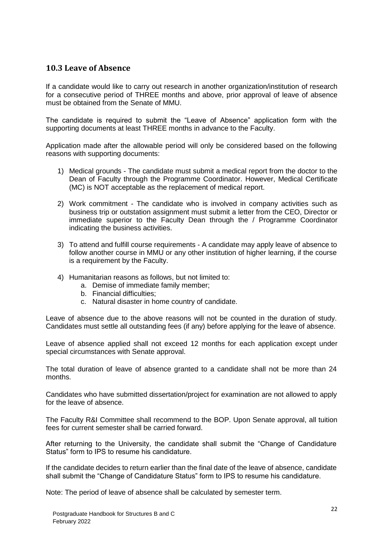## <span id="page-25-0"></span>**10.3 Leave of Absence**

If a candidate would like to carry out research in another organization/institution of research for a consecutive period of THREE months and above, prior approval of leave of absence must be obtained from the Senate of MMU.

The candidate is required to submit the "Leave of Absence" application form with the supporting documents at least THREE months in advance to the Faculty.

Application made after the allowable period will only be considered based on the following reasons with supporting documents:

- 1) Medical grounds The candidate must submit a medical report from the doctor to the Dean of Faculty through the Programme Coordinator. However, Medical Certificate (MC) is NOT acceptable as the replacement of medical report.
- 2) Work commitment The candidate who is involved in company activities such as business trip or outstation assignment must submit a letter from the CEO, Director or immediate superior to the Faculty Dean through the / Programme Coordinator indicating the business activities.
- 3) To attend and fulfill course requirements A candidate may apply leave of absence to follow another course in MMU or any other institution of higher learning, if the course is a requirement by the Faculty.
- 4) Humanitarian reasons as follows, but not limited to:
	- a. Demise of immediate family member;
	- b. Financial difficulties;
	- c. Natural disaster in home country of candidate.

Leave of absence due to the above reasons will not be counted in the duration of study. Candidates must settle all outstanding fees (if any) before applying for the leave of absence.

Leave of absence applied shall not exceed 12 months for each application except under special circumstances with Senate approval.

The total duration of leave of absence granted to a candidate shall not be more than 24 months.

Candidates who have submitted dissertation/project for examination are not allowed to apply for the leave of absence.

The Faculty R&I Committee shall recommend to the BOP. Upon Senate approval, all tuition fees for current semester shall be carried forward.

After returning to the University, the candidate shall submit the "Change of Candidature Status" form to IPS to resume his candidature.

If the candidate decides to return earlier than the final date of the leave of absence, candidate shall submit the "Change of Candidature Status" form to IPS to resume his candidature.

Note: The period of leave of absence shall be calculated by semester term.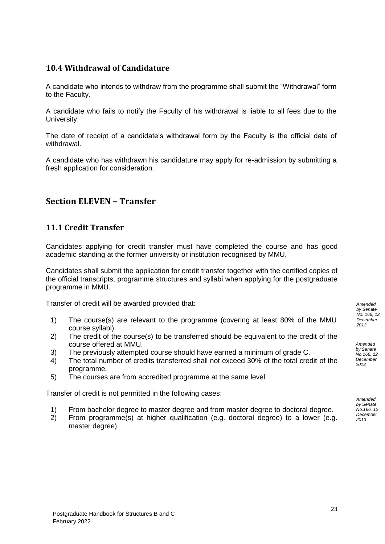## <span id="page-26-0"></span>**10.4 Withdrawal of Candidature**

A candidate who intends to withdraw from the programme shall submit the "Withdrawal" form to the Faculty.

A candidate who fails to notify the Faculty of his withdrawal is liable to all fees due to the University.

The date of receipt of a candidate's withdrawal form by the Faculty is the official date of withdrawal.

A candidate who has withdrawn his candidature may apply for re-admission by submitting a fresh application for consideration.

# <span id="page-26-1"></span>**Section ELEVEN – Transfer**

## <span id="page-26-2"></span>**11.1 Credit Transfer**

Candidates applying for credit transfer must have completed the course and has good academic standing at the former university or institution recognised by MMU.

Candidates shall submit the application for credit transfer together with the certified copies of the official transcripts, programme structures and syllabi when applying for the postgraduate programme in MMU.

Transfer of credit will be awarded provided that:

- 1) The course(s) are relevant to the programme (covering at least 80% of the MMU course syllabi).
- 2) The credit of the course(s) to be transferred should be equivalent to the credit of the course offered at MMU.
- 3) The previously attempted course should have earned a minimum of grade C.
- 4) The total number of credits transferred shall not exceed 30% of the total credit of the programme.
- 5) The courses are from accredited programme at the same level.

Transfer of credit is not permitted in the following cases:

- 1) From bachelor degree to master degree and from master degree to doctoral degree.
- 2) From programme(s) at higher qualification (e.g. doctoral degree) to a lower (e.g. master degree).

*Amended by Senate No. 166, 12 December 2013*

*Amended by Senate No.166, 12 December 2013*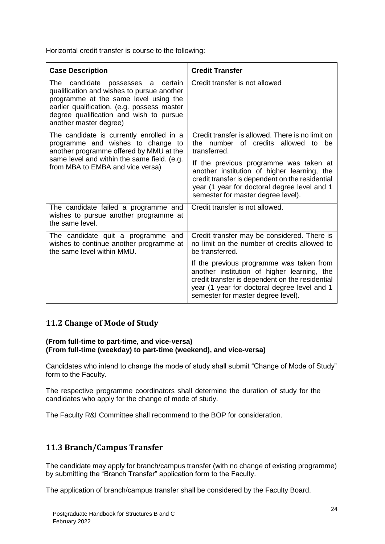Horizontal credit transfer is course to the following:

| <b>Case Description</b>                                                                                                                                                                                                                               | <b>Credit Transfer</b>                                                                                                                                                                                                           |
|-------------------------------------------------------------------------------------------------------------------------------------------------------------------------------------------------------------------------------------------------------|----------------------------------------------------------------------------------------------------------------------------------------------------------------------------------------------------------------------------------|
| The candidate<br>certain<br>possesses<br>a<br>qualification and wishes to pursue another<br>programme at the same level using the<br>earlier qualification. (e.g. possess master<br>degree qualification and wish to pursue<br>another master degree) | Credit transfer is not allowed                                                                                                                                                                                                   |
| The candidate is currently enrolled in a<br>programme and wishes to change to<br>another programme offered by MMU at the                                                                                                                              | Credit transfer is allowed. There is no limit on<br>the number of credits allowed<br>be<br>to<br>transferred.                                                                                                                    |
| same level and within the same field. (e.g.<br>from MBA to EMBA and vice versa)                                                                                                                                                                       | If the previous programme was taken at<br>another institution of higher learning, the<br>credit transfer is dependent on the residential<br>year (1 year for doctoral degree level and 1<br>semester for master degree level).   |
| The candidate failed a programme and<br>wishes to pursue another programme at<br>the same level.                                                                                                                                                      | Credit transfer is not allowed.                                                                                                                                                                                                  |
| The candidate quit a programme and<br>wishes to continue another programme at<br>the same level within MMU.                                                                                                                                           | Credit transfer may be considered. There is<br>no limit on the number of credits allowed to<br>be transferred.                                                                                                                   |
|                                                                                                                                                                                                                                                       | If the previous programme was taken from<br>another institution of higher learning, the<br>credit transfer is dependent on the residential<br>year (1 year for doctoral degree level and 1<br>semester for master degree level). |

## <span id="page-27-0"></span>**11.2 Change of Mode of Study**

#### **(From full-time to part-time, and vice-versa) (From full-time (weekday) to part-time (weekend), and vice-versa)**

Candidates who intend to change the mode of study shall submit "Change of Mode of Study" form to the Faculty.

The respective programme coordinators shall determine the duration of study for the candidates who apply for the change of mode of study.

The Faculty R&I Committee shall recommend to the BOP for consideration.

## <span id="page-27-1"></span>**11.3 Branch/Campus Transfer**

The candidate may apply for branch/campus transfer (with no change of existing programme) by submitting the "Branch Transfer" application form to the Faculty.

The application of branch/campus transfer shall be considered by the Faculty Board.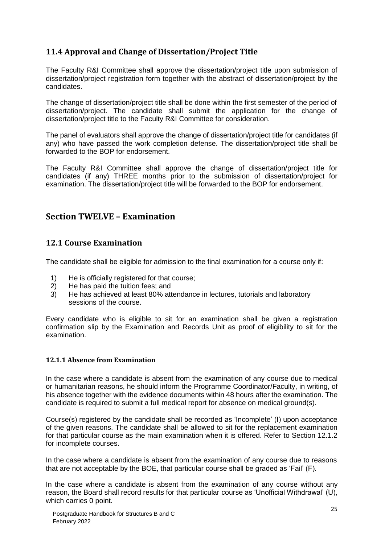# <span id="page-28-0"></span>**11.4 Approval and Change of Dissertation/Project Title**

The Faculty R&I Committee shall approve the dissertation/project title upon submission of dissertation/project registration form together with the abstract of dissertation/project by the candidates.

The change of dissertation/project title shall be done within the first semester of the period of dissertation/project. The candidate shall submit the application for the change of dissertation/project title to the Faculty R&I Committee for consideration.

The panel of evaluators shall approve the change of dissertation/project title for candidates (if any) who have passed the work completion defense. The dissertation/project title shall be forwarded to the BOP for endorsement.

The Faculty R&I Committee shall approve the change of dissertation/project title for candidates (if any) THREE months prior to the submission of dissertation/project for examination. The dissertation/project title will be forwarded to the BOP for endorsement.

# <span id="page-28-1"></span>**Section TWELVE – Examination**

# <span id="page-28-2"></span>**12.1 Course Examination**

The candidate shall be eligible for admission to the final examination for a course only if:

- 1) He is officially registered for that course;
- 2) He has paid the tuition fees; and
- 3) He has achieved at least 80% attendance in lectures, tutorials and laboratory sessions of the course.

Every candidate who is eligible to sit for an examination shall be given a registration confirmation slip by the Examination and Records Unit as proof of eligibility to sit for the examination.

#### <span id="page-28-3"></span>**12.1.1 Absence from Examination**

In the case where a candidate is absent from the examination of any course due to medical or humanitarian reasons, he should inform the Programme Coordinator/Faculty, in writing, of his absence together with the evidence documents within 48 hours after the examination. The candidate is required to submit a full medical report for absence on medical ground(s).

Course(s) registered by the candidate shall be recorded as 'Incomplete' (I) upon acceptance of the given reasons. The candidate shall be allowed to sit for the replacement examination for that particular course as the main examination when it is offered. Refer to Section 12.1.2 for incomplete courses.

In the case where a candidate is absent from the examination of any course due to reasons that are not acceptable by the BOE, that particular course shall be graded as 'Fail' (F).

In the case where a candidate is absent from the examination of any course without any reason, the Board shall record results for that particular course as 'Unofficial Withdrawal' (U), which carries 0 point.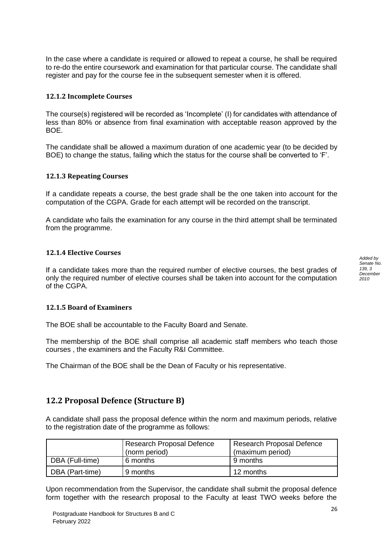In the case where a candidate is required or allowed to repeat a course, he shall be required to re-do the entire coursework and examination for that particular course. The candidate shall register and pay for the course fee in the subsequent semester when it is offered.

#### <span id="page-29-0"></span>**12.1.2 Incomplete Courses**

The course(s) registered will be recorded as 'Incomplete' (I) for candidates with attendance of less than 80% or absence from final examination with acceptable reason approved by the BOE.

The candidate shall be allowed a maximum duration of one academic year (to be decided by BOE) to change the status, failing which the status for the course shall be converted to 'F'.

#### <span id="page-29-1"></span>**12.1.3 Repeating Courses**

If a candidate repeats a course, the best grade shall be the one taken into account for the computation of the CGPA. Grade for each attempt will be recorded on the transcript.

A candidate who fails the examination for any course in the third attempt shall be terminated from the programme.

#### <span id="page-29-2"></span>**12.1.4 Elective Courses**

If a candidate takes more than the required number of elective courses, the best grades of only the required number of elective courses shall be taken into account for the computation of the CGPA.

#### <span id="page-29-3"></span>**12.1.5 Board of Examiners**

The BOE shall be accountable to the Faculty Board and Senate.

The membership of the BOE shall comprise all academic staff members who teach those courses , the examiners and the Faculty R&I Committee.

The Chairman of the BOE shall be the Dean of Faculty or his representative.

## <span id="page-29-4"></span>**12.2 Proposal Defence (Structure B)**

A candidate shall pass the proposal defence within the norm and maximum periods, relative to the registration date of the programme as follows:

|                 | Research Proposal Defence<br>(norm period) | Research Proposal Defence<br>(maximum period) |
|-----------------|--------------------------------------------|-----------------------------------------------|
| DBA (Full-time) | 6 months                                   | 9 months                                      |
| DBA (Part-time) | 9 months                                   | 12 months                                     |

Upon recommendation from the Supervisor, the candidate shall submit the proposal defence form together with the research proposal to the Faculty at least TWO weeks before the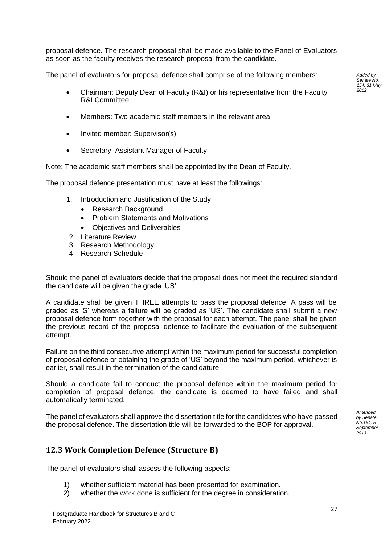proposal defence. The research proposal shall be made available to the Panel of Evaluators as soon as the faculty receives the research proposal from the candidate.

The panel of evaluators for proposal defence shall comprise of the following members:

- Chairman: Deputy Dean of Faculty (R&I) or his representative from the Faculty R&I Committee
- Members: Two academic staff members in the relevant area
- Invited member: Supervisor(s)
- Secretary: Assistant Manager of Faculty

Note: The academic staff members shall be appointed by the Dean of Faculty.

The proposal defence presentation must have at least the followings:

- 1. Introduction and Justification of the Study
	- Research Background
	- Problem Statements and Motivations
	- Objectives and Deliverables
- 2. Literature Review
- 3. Research Methodology
- 4. Research Schedule

Should the panel of evaluators decide that the proposal does not meet the required standard the candidate will be given the grade 'US'.

A candidate shall be given THREE attempts to pass the proposal defence. A pass will be graded as 'S' whereas a failure will be graded as 'US'. The candidate shall submit a new proposal defence form together with the proposal for each attempt. The panel shall be given the previous record of the proposal defence to facilitate the evaluation of the subsequent attempt.

Failure on the third consecutive attempt within the maximum period for successful completion of proposal defence or obtaining the grade of 'US' beyond the maximum period, whichever is earlier, shall result in the termination of the candidature.

Should a candidate fail to conduct the proposal defence within the maximum period for completion of proposal defence, the candidate is deemed to have failed and shall automatically terminated.

The panel of evaluators shall approve the dissertation title for the candidates who have passed the proposal defence. The dissertation title will be forwarded to the BOP for approval.

*Amended by Senate No.164, 5 September 2013*

# <span id="page-30-0"></span>**12.3 Work Completion Defence (Structure B)**

The panel of evaluators shall assess the following aspects:

- 1) whether sufficient material has been presented for examination.
- 2) whether the work done is sufficient for the degree in consideration.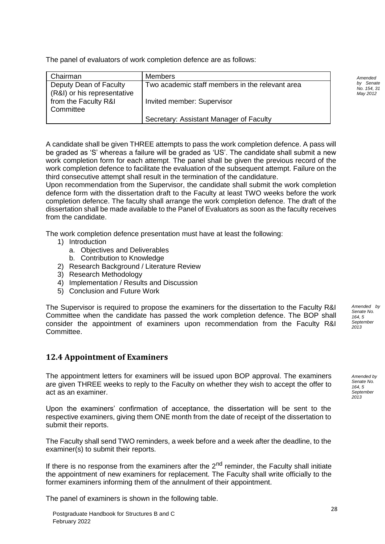The panel of evaluators of work completion defence are as follows:

| Chairman                                              | <b>Members</b>                                  |
|-------------------------------------------------------|-------------------------------------------------|
| Deputy Dean of Faculty<br>(R&I) or his representative | Two academic staff members in the relevant area |
| from the Faculty R&I<br>Committee                     | Invited member: Supervisor                      |
|                                                       | Secretary: Assistant Manager of Faculty         |

A candidate shall be given THREE attempts to pass the work completion defence. A pass will be graded as 'S' whereas a failure will be graded as 'US'. The candidate shall submit a new work completion form for each attempt. The panel shall be given the previous record of the work completion defence to facilitate the evaluation of the subsequent attempt. Failure on the third consecutive attempt shall result in the termination of the candidature.

Upon recommendation from the Supervisor, the candidate shall submit the work completion defence form with the dissertation draft to the Faculty at least TWO weeks before the work completion defence. The faculty shall arrange the work completion defence. The draft of the dissertation shall be made available to the Panel of Evaluators as soon as the faculty receives from the candidate.

The work completion defence presentation must have at least the following:

- 1) Introduction
	- a. Objectives and Deliverables
	- b. Contribution to Knowledge
- 2) Research Background / Literature Review
- 3) Research Methodology
- 4) Implementation / Results and Discussion
- 5) Conclusion and Future Work

The Supervisor is required to propose the examiners for the dissertation to the Faculty R&I Committee when the candidate has passed the work completion defence. The BOP shall consider the appointment of examiners upon recommendation from the Faculty R&I Committee.

## <span id="page-31-0"></span>**12.4 Appointment of Examiners**

The appointment letters for examiners will be issued upon BOP approval. The examiners are given THREE weeks to reply to the Faculty on whether they wish to accept the offer to act as an examiner.

Upon the examiners' confirmation of acceptance, the dissertation will be sent to the respective examiners, giving them ONE month from the date of receipt of the dissertation to submit their reports.

The Faculty shall send TWO reminders, a week before and a week after the deadline, to the examiner(s) to submit their reports.

If there is no response from the examiners after the  $2<sup>nd</sup>$  reminder, the Faculty shall initiate the appointment of new examiners for replacement. The Faculty shall write officially to the former examiners informing them of the annulment of their appointment.

The panel of examiners is shown in the following table.

*Amended by Senate No. 154, 31 May 2012*

*Amended by Senate No. 164, 5 September 2013*

*Amended by Senate No. 164, 5 September 2013*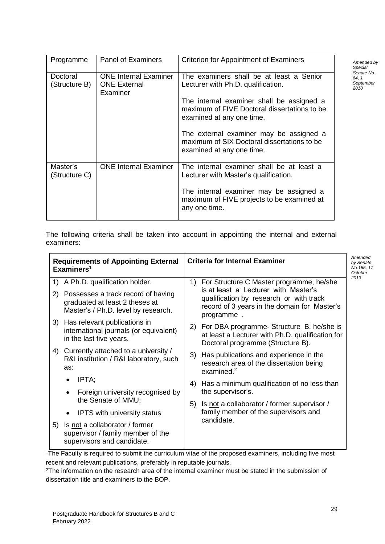| Programme                 | <b>Panel of Examiners</b>                                       | <b>Criterion for Appointment of Examiners</b>                                                                                                                                                                                                                                                                                   |
|---------------------------|-----------------------------------------------------------------|---------------------------------------------------------------------------------------------------------------------------------------------------------------------------------------------------------------------------------------------------------------------------------------------------------------------------------|
| Doctoral<br>(Structure B) | <b>ONE Internal Examiner</b><br><b>ONE External</b><br>Examiner | The examiners shall be at least a Senior<br>Lecturer with Ph.D. qualification.<br>The internal examiner shall be assigned a<br>maximum of FIVE Doctoral dissertations to be<br>examined at any one time.<br>The external examiner may be assigned a<br>maximum of SIX Doctoral dissertations to be<br>examined at any one time. |
| Master's<br>(Structure C) | <b>ONE Internal Examiner</b>                                    | The internal examiner shall be at least a<br>Lecturer with Master's qualification.<br>The internal examiner may be assigned a<br>maximum of FIVE projects to be examined at<br>any one time.                                                                                                                                    |

The following criteria shall be taken into account in appointing the internal and external examiners:

| <b>Requirements of Appointing External</b><br>Examiners <sup>1</sup> |                                                                                                             | <b>Criteria for Internal Examiner</b>                                                                                                         |      |
|----------------------------------------------------------------------|-------------------------------------------------------------------------------------------------------------|-----------------------------------------------------------------------------------------------------------------------------------------------|------|
| 1)                                                                   | A Ph.D. qualification holder.                                                                               | For Structure C Master programme, he/she<br>1)                                                                                                | 2013 |
| 2)                                                                   | Possesses a track record of having<br>graduated at least 2 theses at<br>Master's / Ph.D. level by research. | is at least a Lecturer with Master's<br>qualification by research or with track<br>record of 3 years in the domain for Master's<br>programme. |      |
|                                                                      | 3) Has relevant publications in<br>international journals (or equivalent)<br>in the last five years.        | For DBA programme- Structure B, he/she is<br>2)<br>at least a Lecturer with Ph.D. qualification for<br>Doctoral programme (Structure B).      |      |
|                                                                      | 4) Currently attached to a university /<br>R&I institution / R&I laboratory, such<br>as:                    | Has publications and experience in the<br>3)<br>research area of the dissertation being<br>examined. $2$                                      |      |
|                                                                      | IPTA;<br>$\bullet$                                                                                          | Has a minimum qualification of no less than<br>4)                                                                                             |      |
|                                                                      | Foreign university recognised by<br>$\bullet$                                                               | the supervisor's.                                                                                                                             |      |
|                                                                      | the Senate of MMU;                                                                                          | Is not a collaborator / former supervisor /<br>5)                                                                                             |      |
|                                                                      | <b>IPTS</b> with university status<br>٠                                                                     | family member of the supervisors and<br>candidate.                                                                                            |      |
| 5)                                                                   | Is not a collaborator / former<br>supervisor / family member of the<br>supervisors and candidate.           |                                                                                                                                               |      |

<sup>1</sup>The Faculty is required to submit the curriculum vitae of the proposed examiners, including five most recent and relevant publications, preferably in reputable journals.

<sup>2</sup>The information on the research area of the internal examiner must be stated in the submission of dissertation title and examiners to the BOP.

*Amended by Special Senate No. 64, 1 September 2010*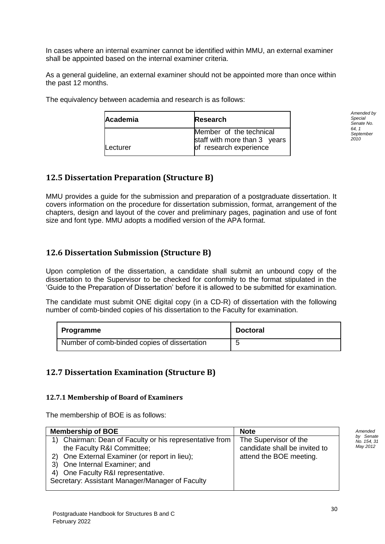In cases where an internal examiner cannot be identified within MMU, an external examiner shall be appointed based on the internal examiner criteria.

As a general guideline, an external examiner should not be appointed more than once within the past 12 months.

| <b>Academia</b> | <b>Research</b>                                                                   |  |
|-----------------|-----------------------------------------------------------------------------------|--|
| <b>Lecturer</b> | Member of the technical<br>staff with more than 3 years<br>of research experience |  |

The equivalency between academia and research is as follows:

*Amended by Special Senate No. 64, 1 September 2010*

## <span id="page-33-0"></span>**12.5 Dissertation Preparation (Structure B)**

MMU provides a guide for the submission and preparation of a postgraduate dissertation. It covers information on the procedure for dissertation submission, format, arrangement of the chapters, design and layout of the cover and preliminary pages, pagination and use of font size and font type. MMU adopts a modified version of the APA format.

# <span id="page-33-1"></span>**12.6 Dissertation Submission (Structure B)**

Upon completion of the dissertation, a candidate shall submit an unbound copy of the dissertation to the Supervisor to be checked for conformity to the format stipulated in the 'Guide to the Preparation of Dissertation' before it is allowed to be submitted for examination.

The candidate must submit ONE digital copy (in a CD-R) of dissertation with the following number of comb-binded copies of his dissertation to the Faculty for examination.

| Programme                                    | <b>Doctoral</b> |
|----------------------------------------------|-----------------|
| Number of comb-binded copies of dissertation |                 |

## <span id="page-33-2"></span>**12.7 Dissertation Examination (Structure B)**

#### <span id="page-33-3"></span>**12.7.1 Membership of Board of Examiners**

The membership of BOE is as follows:

February 2022

| <b>Membership of BOE</b><br><b>Note</b>                 |                               |                          |
|---------------------------------------------------------|-------------------------------|--------------------------|
| 1) Chairman: Dean of Faculty or his representative from | The Supervisor of the         | by Senate<br>No. 154, 31 |
| the Faculty R&I Committee;                              | candidate shall be invited to | May 2012                 |
| 2) One External Examiner (or report in lieu);           | attend the BOE meeting.       |                          |
| 3) One Internal Examiner; and                           |                               |                          |
| 4) One Faculty R&I representative.                      |                               |                          |
| Secretary: Assistant Manager/Manager of Faculty         |                               |                          |
|                                                         |                               |                          |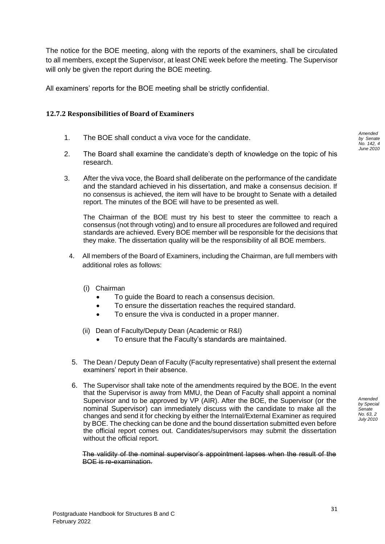The notice for the BOE meeting, along with the reports of the examiners, shall be circulated to all members, except the Supervisor, at least ONE week before the meeting. The Supervisor will only be given the report during the BOE meeting.

All examiners' reports for the BOE meeting shall be strictly confidential.

#### <span id="page-34-0"></span>**12.7.2 Responsibilities of Board of Examiners**

- 1. The BOE shall conduct a viva voce for the candidate.
- 2. The Board shall examine the candidate's depth of knowledge on the topic of his research.
- 3. After the viva voce, the Board shall deliberate on the performance of the candidate and the standard achieved in his dissertation, and make a consensus decision. If no consensus is achieved, the item will have to be brought to Senate with a detailed report. The minutes of the BOE will have to be presented as well.

The Chairman of the BOE must try his best to steer the committee to reach a consensus (not through voting) and to ensure all procedures are followed and required standards are achieved. Every BOE member will be responsible for the decisions that they make. The dissertation quality will be the responsibility of all BOE members.

- 4. All members of the Board of Examiners, including the Chairman, are full members with additional roles as follows:
	- (i) Chairman
		- To guide the Board to reach a consensus decision.
		- To ensure the dissertation reaches the required standard.
		- To ensure the viva is conducted in a proper manner.
	- (ii) Dean of Faculty/Deputy Dean (Academic or R&I)
		- To ensure that the Faculty's standards are maintained.
- 5. The Dean / Deputy Dean of Faculty (Faculty representative) shall present the external examiners' report in their absence.
- 6. The Supervisor shall take note of the amendments required by the BOE. In the event that the Supervisor is away from MMU, the Dean of Faculty shall appoint a nominal Supervisor and to be approved by VP (AIR). After the BOE, the Supervisor (or the nominal Supervisor) can immediately discuss with the candidate to make all the changes and send it for checking by either the Internal/External Examiner as required by BOE. The checking can be done and the bound dissertation submitted even before the official report comes out. Candidates/supervisors may submit the dissertation without the official report.

The validity of the nominal supervisor's appointment lapses when the result of the BOE is re-examination.

*Amended by Senate No. 142, 4 June 2010*

*Amended by Special Senate No. 63, 2 July 2010*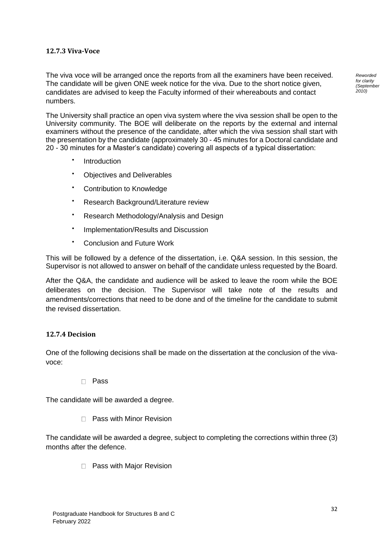#### <span id="page-35-0"></span>**12.7.3 Viva-Voce**

The viva voce will be arranged once the reports from all the examiners have been received. The candidate will be given ONE week notice for the viva. Due to the short notice given, candidates are advised to keep the Faculty informed of their whereabouts and contact numbers.

The University shall practice an open viva system where the viva session shall be open to the University community. The BOE will deliberate on the reports by the external and internal examiners without the presence of the candidate, after which the viva session shall start with the presentation by the candidate (approximately 30 - 45 minutes for a Doctoral candidate and 20 - 30 minutes for a Master's candidate) covering all aspects of a typical dissertation:

- $\bullet$ Introduction
- Objectives and Deliverables
- Contribution to Knowledge
- Research Background/Literature review
- Research Methodology/Analysis and Design
- $\bullet$ Implementation/Results and Discussion
- Conclusion and Future Work

This will be followed by a defence of the dissertation, i.e. Q&A session. In this session, the Supervisor is not allowed to answer on behalf of the candidate unless requested by the Board.

After the Q&A, the candidate and audience will be asked to leave the room while the BOE deliberates on the decision. The Supervisor will take note of the results and amendments/corrections that need to be done and of the timeline for the candidate to submit the revised dissertation.

#### <span id="page-35-1"></span>**12.7.4 Decision**

One of the following decisions shall be made on the dissertation at the conclusion of the vivavoce:

Pass

The candidate will be awarded a degree.

 $\Box$  Pass with Minor Revision

The candidate will be awarded a degree, subject to completing the corrections within three (3) months after the defence.

□ Pass with Major Revision

*Reworded for clarity (September 2010)*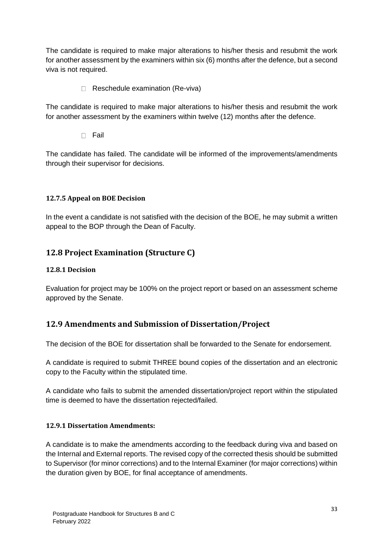The candidate is required to make major alterations to his/her thesis and resubmit the work for another assessment by the examiners within six (6) months after the defence, but a second viva is not required.

Reschedule examination (Re-viva)

The candidate is required to make major alterations to his/her thesis and resubmit the work for another assessment by the examiners within twelve (12) months after the defence.

 $\Box$  Fail

The candidate has failed. The candidate will be informed of the improvements/amendments through their supervisor for decisions.

#### <span id="page-36-0"></span>**12.7.5 Appeal on BOE Decision**

In the event a candidate is not satisfied with the decision of the BOE, he may submit a written appeal to the BOP through the Dean of Faculty.

## <span id="page-36-1"></span>**12.8 Project Examination (Structure C)**

#### <span id="page-36-2"></span>**12.8.1 Decision**

Evaluation for project may be 100% on the project report or based on an assessment scheme approved by the Senate.

## <span id="page-36-3"></span>**12.9 Amendments and Submission of Dissertation/Project**

The decision of the BOE for dissertation shall be forwarded to the Senate for endorsement.

A candidate is required to submit THREE bound copies of the dissertation and an electronic copy to the Faculty within the stipulated time.

A candidate who fails to submit the amended dissertation/project report within the stipulated time is deemed to have the dissertation rejected/failed.

#### <span id="page-36-4"></span>**12.9.1 Dissertation Amendments:**

A candidate is to make the amendments according to the feedback during viva and based on the Internal and External reports. The revised copy of the corrected thesis should be submitted to Supervisor (for minor corrections) and to the Internal Examiner (for major corrections) within the duration given by BOE, for final acceptance of amendments.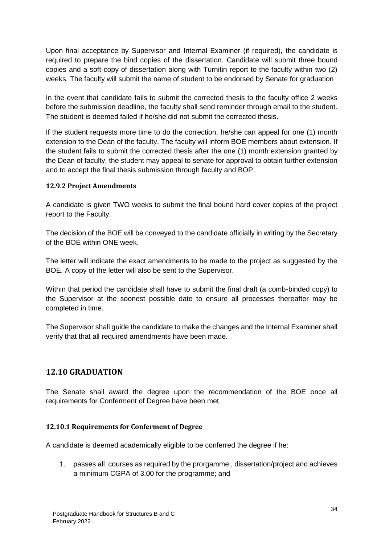Upon final acceptance by Supervisor and Internal Examiner (if required), the candidate is required to prepare the bind copies of the dissertation. Candidate will submit three bound copies and a soft-copy of dissertation along with Turnitin report to the faculty within two (2) weeks. The faculty will submit the name of student to be endorsed by Senate for graduation

In the event that candidate fails to submit the corrected thesis to the faculty office 2 weeks before the submission deadline, the faculty shall send reminder through email to the student. The student is deemed failed if he/she did not submit the corrected thesis.

If the student requests more time to do the correction, he/she can appeal for one (1) month extension to the Dean of the faculty. The faculty will inform BOE members about extension. If the student fails to submit the corrected thesis after the one (1) month extension granted by the Dean of faculty, the student may appeal to senate for approval to obtain further extension and to accept the final thesis submission through faculty and BOP.

#### <span id="page-37-0"></span>**12.9.2 Project Amendments**

A candidate is given TWO weeks to submit the final bound hard cover copies of the project report to the Faculty.

The decision of the BOE will be conveyed to the candidate officially in writing by the Secretary of the BOE within ONE week.

The letter will indicate the exact amendments to be made to the project as suggested by the BOE. A copy of the letter will also be sent to the Supervisor.

Within that period the candidate shall have to submit the final draft (a comb-binded copy) to the Supervisor at the soonest possible date to ensure all processes thereafter may be completed in time.

The Supervisor shall guide the candidate to make the changes and the Internal Examiner shall verify that that all required amendments have been made.

#### <span id="page-37-1"></span>**12.10 GRADUATION**

The Senate shall award the degree upon the recommendation of the BOE once all requirements for Conferment of Degree have been met.

#### <span id="page-37-2"></span>**12.10.1 Requirements for Conferment of Degree**

A candidate is deemed academically eligible to be conferred the degree if he:

1. passes all courses as required by the prorgamme , dissertation/project and achieves a minimum CGPA of 3.00 for the programme; and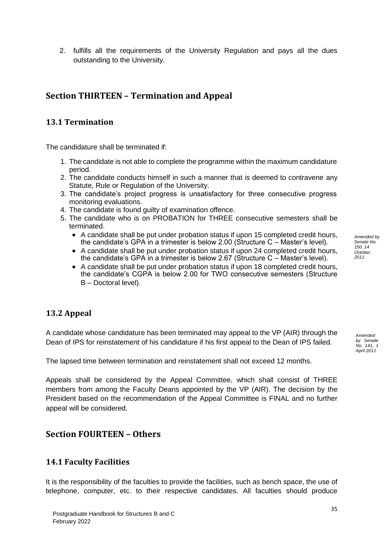*Amended by Senate No. 150, 14 October 2011*

2. fulfills all the requirements of the University Regulation and pays all the dues outstanding to the University.

# <span id="page-38-0"></span>**Section THIRTEEN – Termination and Appeal**

# <span id="page-38-1"></span>**13.1 Termination**

The candidature shall be terminated if:

- 1. The candidate is not able to complete the programme within the maximum candidature period.
- 2. The candidate conducts himself in such a manner that is deemed to contravene any Statute, Rule or Regulation of the University.
- 3. The candidate's project progress is unsatisfactory for three consecutive progress monitoring evaluations.
- 4. The candidate is found guilty of examination offence.
- 5. The candidate who is on PROBATION for THREE consecutive semesters shall be terminated.
	- A candidate shall be put under probation status if upon 15 completed credit hours, the candidate's GPA in a trimester is below 2.00 (Structure C – Master's level).
	- A candidate shall be put under probation status if upon 24 completed credit hours, the candidate's GPA in a trimester is below 2.67 (Structure C – Master's level).
	- A candidate shall be put under probation status if upon 18 completed credit hours, the candidate's CGPA is below 2.00 for TWO consecutive semesters (Structure B – Doctoral level).

# <span id="page-38-2"></span>**13.2 Appeal**

A candidate whose candidature has been terminated may appeal to the VP (AIR) through the Dean of IPS for reinstatement of his candidature if his first appeal to the Dean of IPS failed.

The lapsed time between termination and reinstatement shall not exceed 12 months.

Appeals shall be considered by the Appeal Committee, which shall consist of THREE members from among the Faculty Deans appointed by the VP (AIR). The decision by the President based on the recommendation of the Appeal Committee is FINAL and no further appeal will be considered.

# <span id="page-38-3"></span>**Section FOURTEEN – Others**

# <span id="page-38-4"></span>**14.1 Faculty Facilities**

It is the responsibility of the faculties to provide the facilities, such as bench space, the use of telephone, computer, etc. to their respective candidates. All faculties should produce

*Amended by Senate* 

*No. 141, 1 April 2011*